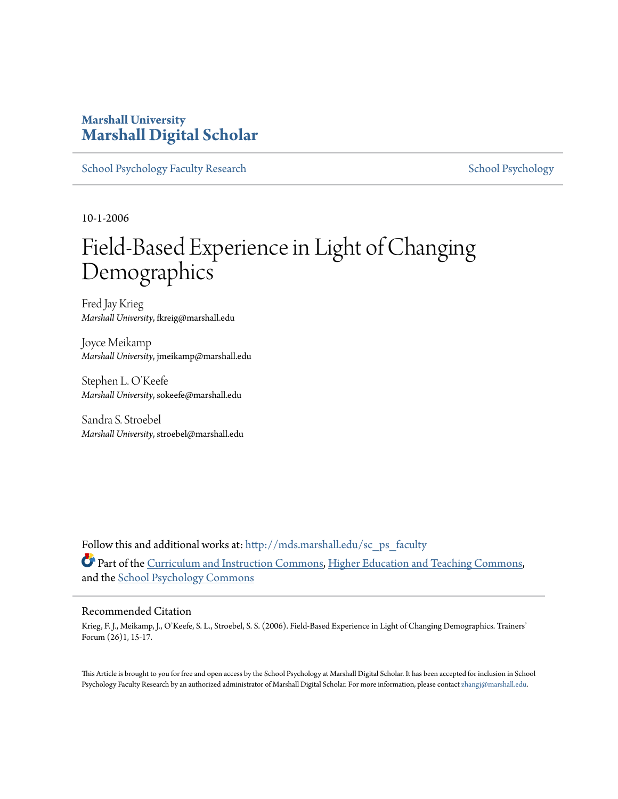### **Marshall University [Marshall Digital Scholar](http://mds.marshall.edu?utm_source=mds.marshall.edu%2Fsc_ps_faculty%2F2&utm_medium=PDF&utm_campaign=PDFCoverPages)**

[School Psychology Faculty Research](http://mds.marshall.edu/sc_ps_faculty?utm_source=mds.marshall.edu%2Fsc_ps_faculty%2F2&utm_medium=PDF&utm_campaign=PDFCoverPages) [School Psychology](http://mds.marshall.edu/sc_ps?utm_source=mds.marshall.edu%2Fsc_ps_faculty%2F2&utm_medium=PDF&utm_campaign=PDFCoverPages) School Psychology

10-1-2006

# Field-Based Experience in Light of Changing Demographics

Fred Jay Krieg *Marshall University*, fkreig@marshall.edu

Joyce Meikamp *Marshall University*, jmeikamp@marshall.edu

Stephen L. O'Keefe *Marshall University*, sokeefe@marshall.edu

Sandra S. Stroebel *Marshall University*, stroebel@marshall.edu

Follow this and additional works at: [http://mds.marshall.edu/sc\\_ps\\_faculty](http://mds.marshall.edu/sc_ps_faculty?utm_source=mds.marshall.edu%2Fsc_ps_faculty%2F2&utm_medium=PDF&utm_campaign=PDFCoverPages) Part of the [Curriculum and Instruction Commons](http://network.bepress.com/hgg/discipline/786?utm_source=mds.marshall.edu%2Fsc_ps_faculty%2F2&utm_medium=PDF&utm_campaign=PDFCoverPages), [Higher Education and Teaching Commons,](http://network.bepress.com/hgg/discipline/806?utm_source=mds.marshall.edu%2Fsc_ps_faculty%2F2&utm_medium=PDF&utm_campaign=PDFCoverPages) and the [School Psychology Commons](http://network.bepress.com/hgg/discipline/1072?utm_source=mds.marshall.edu%2Fsc_ps_faculty%2F2&utm_medium=PDF&utm_campaign=PDFCoverPages)

#### Recommended Citation

Krieg, F. J., Meikamp, J., O'Keefe, S. L., Stroebel, S. S. (2006). Field-Based Experience in Light of Changing Demographics. Trainers' Forum (26)1, 15-17.

This Article is brought to you for free and open access by the School Psychology at Marshall Digital Scholar. It has been accepted for inclusion in School Psychology Faculty Research by an authorized administrator of Marshall Digital Scholar. For more information, please contact [zhangj@marshall.edu.](mailto:zhangj@marshall.edu)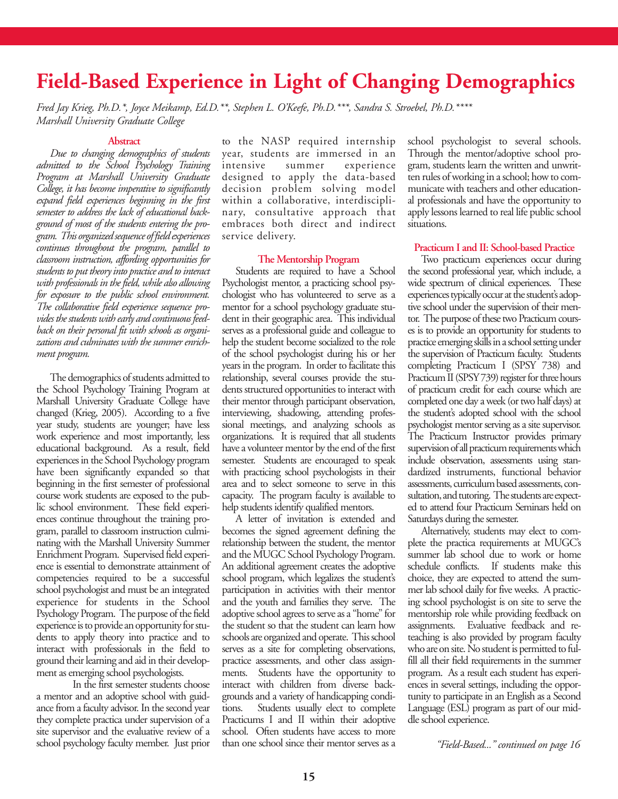## **Field-Based Experience in Light of Changing Demographics**

*Fred Jay Krieg, Ph.D.\*, Joyce Meikamp, Ed.D.\*\*, Stephen L. O'Keefe, Ph.D.\*\*\*, Sandra S. Stroebel, Ph.D.\*\*\*\* Marshall University Graduate College* 

#### **Abstract**

*Due to changing demographics of students admitted to the School Psychology Training Program at Marshall University Graduate College, it has become imperative to significantly expand field experiences beginning in the first semester to address the lack of educational background of most of the students entering the program. This organized sequence of field experiences continues throughout the program, parallel to classroom instruction, affording opportunities for students to put theory into practice and to interact with professionals in the field, while also allowing for exposure to the public school environment. The collaborative field experience sequence provides the students with early and continuous feedback on their personal fit with schools as organizations and culminates with the summer enrichment program.* 

The demographics of students admitted to the School Psychology Training Program at Marshall University Graduate College have changed (Krieg, 2005). According to a five year study, students are younger; have less work experience and most importantly, less educational background. As a result, field experiences in the School Psychology program have been significantly expanded so that beginning in the first semester of professional course work students are exposed to the public school environment. These field experiences continue throughout the training program, parallel to classroom instruction culminating with the Marshall University Summer Enrichment Program. Supervised field experience is essential to demonstrate attainment of competencies required to be a successful school psychologist and must be an integrated experience for students in the School Psychology Program. The purpose of the field experience is to provide an opportunity for students to apply theory into practice and to interact with professionals in the field to ground their learning and aid in their development as emerging school psychologists.

In the first semester students choose a mentor and an adoptive school with guidance from a faculty advisor. In the second year they complete practica under supervision of a site supervisor and the evaluative review of a school psychology faculty member. Just prior

to the NASP required internship year, students are immersed in an intensive summer experience designed to apply the data-based decision problem solving model within a collaborative, interdisciplinary, consultative approach that embraces both direct and indirect service delivery.

#### **The Mentorship Program**

Students are required to have a School Psychologist mentor, a practicing school psychologist who has volunteered to serve as a mentor for a school psychology graduate student in their geographic area. This individual serves as a professional guide and colleague to help the student become socialized to the role of the school psychologist during his or her years in the program. In order to facilitate this relationship, several courses provide the students structured opportunities to interact with their mentor through participant observation, interviewing, shadowing, attending professional meetings, and analyzing schools as organizations. It is required that all students have a volunteer mentor by the end of the first semester. Students are encouraged to speak with practicing school psychologists in their area and to select someone to serve in this capacity. The program faculty is available to help students identify qualified mentors.

A letter of invitation is extended and becomes the signed agreement defining the relationship between the student, the mentor and the MUGC School Psychology Program. An additional agreement creates the adoptive school program, which legalizes the student's participation in activities with their mentor and the youth and families they serve. The adoptive school agrees to serve as a "home" for the student so that the student can learn how schools are organized and operate. This school serves as a site for completing observations, practice assessments, and other class assignments. Students have the opportunity to interact with children from diverse backgrounds and a variety of handicapping conditions. Students usually elect to complete Practicums I and II within their adoptive school. Often students have access to more than one school since their mentor serves as a school psychologist to several schools. Through the mentor/adoptive school program, students learn the written and unwritten rules of working in a school; how to communicate with teachers and other educational professionals and have the opportunity to apply lessons learned to real life public school situations.

#### **Practicum I and II: School-based Practice**

Two practicum experiences occur during the second professional year, which include, a wide spectrum of clinical experiences. These experiences typically occur at the student's adoptive school under the supervision of their mentor. The purpose of these two Practicum courses is to provide an opportunity for students to practice emerging skills in a school setting under the supervision of Practicum faculty. Students completing Practicum I (SPSY 738) and Practicum II (SPSY 739) register for three hours of practicum credit for each course which are completed one day a week (or two half days) at the student's adopted school with the school psychologist mentor serving as a site supervisor. The Practicum Instructor provides primary supervision of all practicum requirements which include observation, assessments using standardized instruments, functional behavior assessments, curriculum based assessments, consultation, and tutoring. The students are expected to attend four Practicum Seminars held on Saturdays during the semester.

Alternatively, students may elect to complete the practica requirements at MUGC's summer lab school due to work or home schedule conflicts. If students make this choice, they are expected to attend the summer lab school daily for five weeks. A practicing school psychologist is on site to serve the mentorship role while providing feedback on assignments. Evaluative feedback and reteaching is also provided by program faculty who are on site. No student is permitted to fulfill all their field requirements in the summer program. As a result each student has experiences in several settings, including the opportunity to participate in an English as a Second Language (ESL) program as part of our middle school experience.

*"Field-Based..." continued on page 16*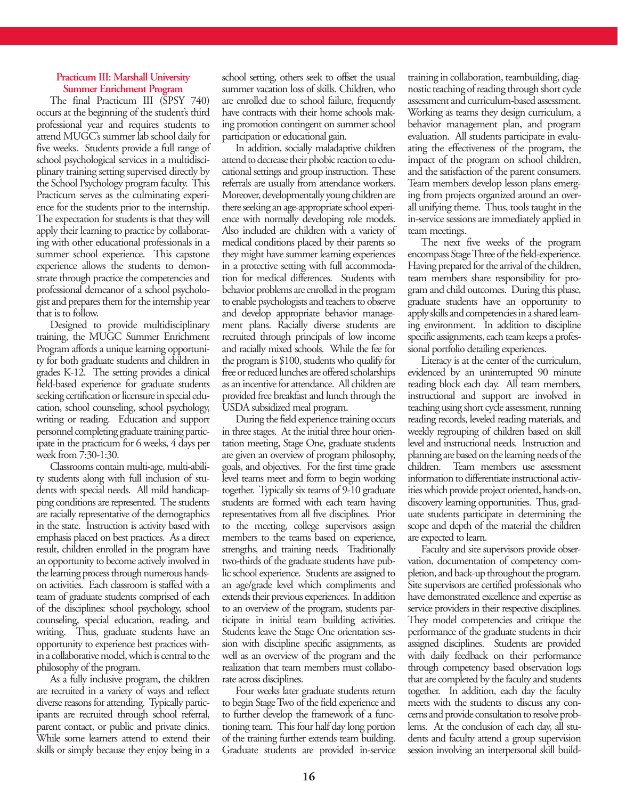#### **Practicum III: Marshall University Summer Enrichment Program**

The final Practicum III (SPSY 740) occurs at the beginning of the student's third professional year and requires students to attend MUGC's summer lab school daily for five weeks. Students provide a full range of school psychological services in a multidisciplinary training setting supervised directly by the School Psychology program faculty. This Practicum serves as the culminating experience for the students prior to the internship. The expectation for students is that they will apply their learning to practice by collaborating with other educational professionals in a summer school experience. This capstone experience allows the students to demonstrate through practice the competencies and professional demeanor of a school psychologist and prepares them for the internship year that is to follow.

Designed to provide multidisciplinary training, the MUGC Summer Enrichment Program affords a unique learning opportunity for both graduate students and children in grades K-12. The setting provides a clinical field-based experience for graduate students seeking certification or licensure in special education, school counseling, school psychology, writing or reading. Education and support personnel completing graduate training participate in the practicum for 6 weeks, 4 days per week from 7:30-1:30.

Classrooms contain multi-age, multi-ability students along with full inclusion of students with special needs. All mild handicapping conditions are represented. The students are racially representative of the demographics in the state. Instruction is activity based with emphasis placed on best practices. As a direct result, children enrolled in the program have an opportunity to become actively involved in the learning process through numerous handson activities. Each classroom is staffed with a team of graduate students comprised of each of the disciplines: school psychology, school counseling, special education, reading, and writing. Thus, graduate students have an opportunity to experience best practices within a collaborative model, which is central to the philosophy of the program.

As a fully inclusive program, the children are recruited in a variety of ways and reflect diverse reasons for attending. Typically participants are recruited through school referral, parent contact, or public and private clinics. While some learners attend to extend their skills or simply because they enjoy being in a

school setting, others seek to offset the usual summer vacation loss of skills. Children, who are enrolled due to school failure, frequently have contracts with their home schools making promotion contingent on summer school participation or educational gain.

In addition, socially maladaptive children attend to decrease their phobic reaction to educational settings and group instruction. These referrals are usually from attendance workers. Moreover, developmentally young children are there seeking an age-appropriate school experience with normally developing role models. Also included are children with a variety of medical conditions placed by their parents so they might have summer learning experiences in a protective setting with full accommodation for medical differences. Students with behavior problems are enrolled in the program to enable psychologists and teachers to observe and develop appropriate behavior management plans. Racially diverse students are recruited through principals of low income and racially mixed schools. While the fee for the program is \$100, students who qualify for free or reduced lunches are offered scholarships as an incentive for attendance. All children are provided free breakfast and lunch through the USDA subsidized meal program.

During the field experience training occurs in three stages. At the initial three hour orientation meeting, Stage One, graduate students are given an overview of program philosophy, goals, and objectives. For the first time grade level teams meet and form to begin working together. Typically six teams of 9-10 graduate students are formed with each team having representatives from all five disciplines. Prior to the meeting, college supervisors assign members to the teams based on experience, strengths, and training needs. Traditionally two-thirds of the graduate students have public school experience. Students are assigned to an age/grade level which compliments and extends their previous experiences. In addition to an overview of the program, students participate in initial team building activities. Students leave the Stage One orientation session with discipline specific assignments, as well as an overview of the program and the realization that team members must collaborate across disciplines.

Four weeks later graduate students return to begin Stage Two of the field experience and to further develop the framework of a functioning team. This four half day long portion of the training further extends team building. Graduate students are provided in-service training in collaboration, teambuilding, diagnostic teaching of reading through short cycle assessment and curriculum-based assessment. Working as teams they design curriculum, a behavior management plan, and program evaluation. All students participate in evaluating the effectiveness of the program, the impact of the program on school children, and the satisfaction of the parent consumers. Team members develop lesson plans emerging from projects organized around an overall unifying theme. Thus, tools taught in the in-service sessions are immediately applied in team meetings.

The next five weeks of the program encompass Stage Three of the field-experience. Having prepared for the arrival of the children, team members share responsibility for program and child outcomes. During this phase, graduate students have an opportunity to apply skills and competencies in a shared learning environment. In addition to discipline specific assignments, each team keeps a professional portfolio detailing experiences.

Literacy is at the center of the curriculum, evidenced by an uninterrupted 90 minute reading block each day. All team members, instructional and support are involved in teaching using short cycle assessment, running reading records, leveled reading materials, and weekly regrouping of children based on skill level and instructional needs. Instruction and planning are based on the learning needs of the children. Team members use assessment information to differentiate instructional activities which provide project oriented, hands-on, discovery learning opportunities. Thus, graduate students participate in determining the scope and depth of the material the children are expected to learn.

Faculty and site supervisors provide observation, documentation of competency completion, and back-up throughout the program. Site supervisors are certified professionals who have demonstrated excellence and expertise as service providers in their respective disciplines. They model competencies and critique the performance of the graduate students in their assigned disciplines. Students are provided with daily feedback on their performance through competency based observation logs that are completed by the faculty and students together. In addition, each day the faculty meets with the students to discuss any concerns and provide consultation to resolve problems. At the conclusion of each day, all students and faculty attend a group supervision session involving an interpersonal skill build-